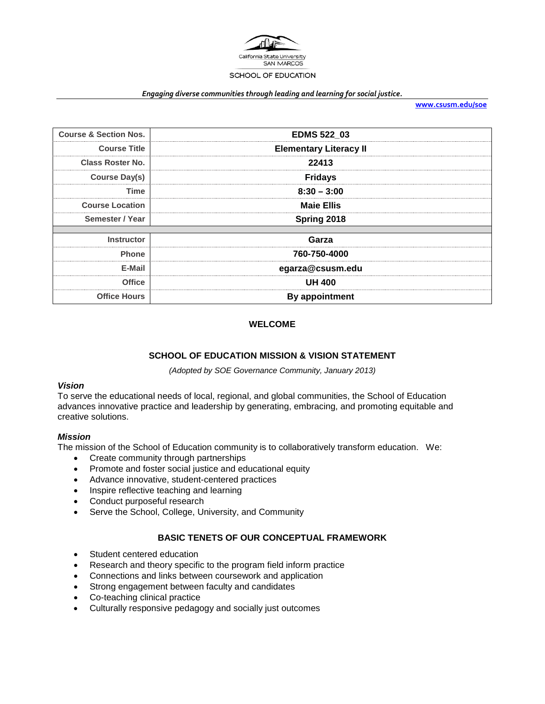

#### *Engaging diverse communities through leading and learning for social justice.*

**[www.csusm.edu/soe](http://www.csusm.edu/soe)**

| <b>Course &amp; Section Nos.</b> | <b>EDMS 522 03</b>            |  |
|----------------------------------|-------------------------------|--|
| <b>Course Title</b>              | <b>Elementary Literacy II</b> |  |
| <b>Class Roster No.</b>          | 22413                         |  |
| Course Day(s)                    | <b>Fridays</b>                |  |
| Time                             | $8:30 - 3:00$                 |  |
| <b>Course Location</b>           | <b>Maie Ellis</b>             |  |
| Semester / Year                  | Spring 2018                   |  |
|                                  |                               |  |
| <b>Instructor</b>                | Garza                         |  |
| <b>Phone</b>                     | 760-750-4000                  |  |
| E-Mail                           | egarza@csusm.edu              |  |
| <b>Office</b>                    | <b>UH 400</b>                 |  |
| <b>Office Hours</b>              | By appointment                |  |

## **WELCOME**

### **SCHOOL OF EDUCATION MISSION & VISION STATEMENT**

*(Adopted by SOE Governance Community, January 2013)*

### *Vision*

To serve the educational needs of local, regional, and global communities, the School of Education advances innovative practice and leadership by generating, embracing, and promoting equitable and creative solutions.

### *Mission*

The mission of the School of Education community is to collaboratively transform education. We:

- Create community through partnerships
- Promote and foster social justice and educational equity
- Advance innovative, student-centered practices
- Inspire reflective teaching and learning
- Conduct purposeful research
- Serve the School, College, University, and Community

## **BASIC TENETS OF OUR CONCEPTUAL FRAMEWORK**

- Student centered education
- Research and theory specific to the program field inform practice
- Connections and links between coursework and application
- Strong engagement between faculty and candidates
- Co-teaching clinical practice
- Culturally responsive pedagogy and socially just outcomes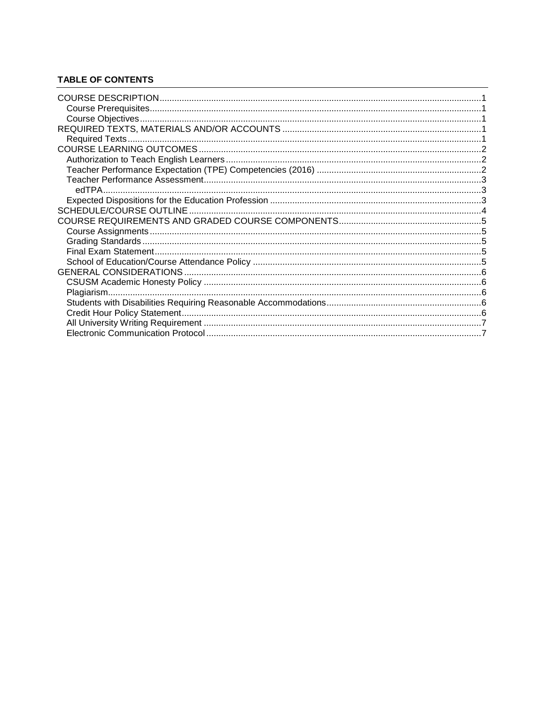# **TABLE OF CONTENTS**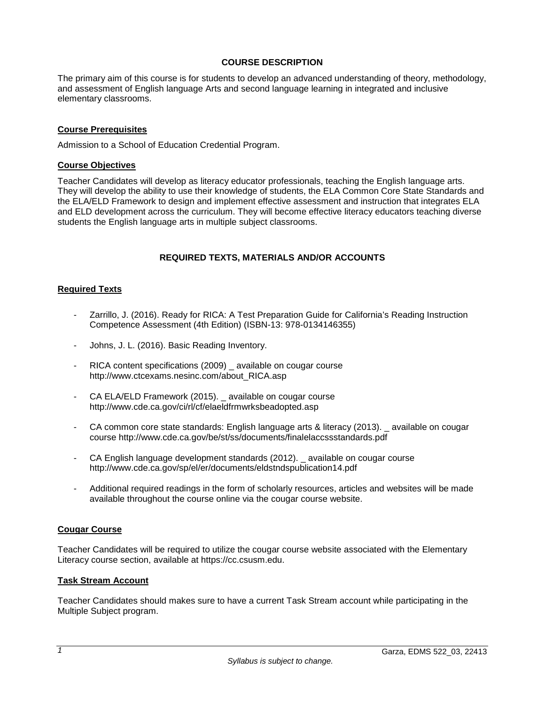## **COURSE DESCRIPTION**

<span id="page-2-0"></span>The primary aim of this course is for students to develop an advanced understanding of theory, methodology, and assessment of English language Arts and second language learning in integrated and inclusive elementary classrooms.

## <span id="page-2-1"></span>**Course Prerequisites**

Admission to a School of Education Credential Program.

### <span id="page-2-2"></span>**Course Objectives**

Teacher Candidates will develop as literacy educator professionals, teaching the English language arts. They will develop the ability to use their knowledge of students, the ELA Common Core State Standards and the ELA/ELD Framework to design and implement effective assessment and instruction that integrates ELA and ELD development across the curriculum. They will become effective literacy educators teaching diverse students the English language arts in multiple subject classrooms.

### **REQUIRED TEXTS, MATERIALS AND/OR ACCOUNTS**

### <span id="page-2-4"></span><span id="page-2-3"></span>**Required Texts**

- Zarrillo, J. (2016). Ready for RICA: A Test Preparation Guide for California's Reading Instruction Competence Assessment (4th Edition) (ISBN-13: 978-0134146355)
- Johns, J. L. (2016). Basic Reading Inventory.
- RICA content specifications (2009) available on cougar course http://www.ctcexams.nesinc.com/about\_RICA.asp
- CA ELA/ELD Framework (2015). \_ available on cougar course http://www.cde.ca.gov/ci/rl/cf/elaeldfrmwrksbeadopted.asp
- CA common core state standards: English language arts & literacy (2013). \_ available on cougar course http://www.cde.ca.gov/be/st/ss/documents/finalelaccssstandards.pdf
- CA English language development standards (2012). \_ available on cougar course http://www.cde.ca.gov/sp/el/er/documents/eldstndspublication14.pdf
- Additional required readings in the form of scholarly resources, articles and websites will be made available throughout the course online via the cougar course website.

### **Cougar Course**

Teacher Candidates will be required to utilize the cougar course website associated with the Elementary Literacy course section, available at https://cc.csusm.edu.

### **Task Stream Account**

Teacher Candidates should makes sure to have a current Task Stream account while participating in the Multiple Subject program.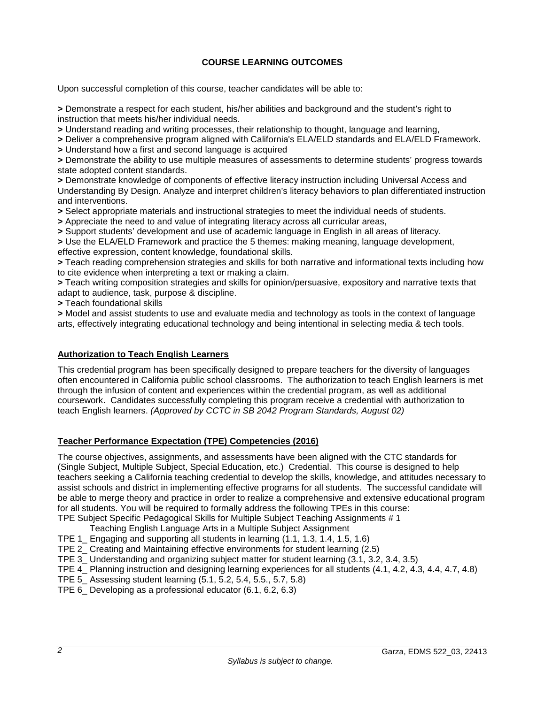# **COURSE LEARNING OUTCOMES**

<span id="page-3-0"></span>Upon successful completion of this course, teacher candidates will be able to:

**>** Demonstrate a respect for each student, his/her abilities and background and the student's right to instruction that meets his/her individual needs.

**>** Understand reading and writing processes, their relationship to thought, language and learning,

**>** Deliver a comprehensive program aligned with California's ELA/ELD standards and ELA/ELD Framework.

**>** Understand how a first and second language is acquired

**>** Demonstrate the ability to use multiple measures of assessments to determine students' progress towards state adopted content standards.

**>** Demonstrate knowledge of components of effective literacy instruction including Universal Access and Understanding By Design. Analyze and interpret children's literacy behaviors to plan differentiated instruction and interventions.

**>** Select appropriate materials and instructional strategies to meet the individual needs of students.

**>** Appreciate the need to and value of integrating literacy across all curricular areas,

**>** Support students' development and use of academic language in English in all areas of literacy.

**>** Use the ELA/ELD Framework and practice the 5 themes: making meaning, language development, effective expression, content knowledge, foundational skills.

**>** Teach reading comprehension strategies and skills for both narrative and informational texts including how to cite evidence when interpreting a text or making a claim.

**>** Teach writing composition strategies and skills for opinion/persuasive, expository and narrative texts that adapt to audience, task, purpose & discipline.

**>** Teach foundational skills

**>** Model and assist students to use and evaluate media and technology as tools in the context of language arts, effectively integrating educational technology and being intentional in selecting media & tech tools.

## <span id="page-3-1"></span>**Authorization to Teach English Learners**

This credential program has been specifically designed to prepare teachers for the diversity of languages often encountered in California public school classrooms. The authorization to teach English learners is met through the infusion of content and experiences within the credential program, as well as additional coursework. Candidates successfully completing this program receive a credential with authorization to teach English learners. *(Approved by CCTC in SB 2042 Program Standards, August 02)*

## <span id="page-3-2"></span>**Teacher Performance Expectation (TPE) Competencies (2016)**

The course objectives, assignments, and assessments have been aligned with the CTC standards for (Single Subject, Multiple Subject, Special Education, etc.) Credential. This course is designed to help teachers seeking a California teaching credential to develop the skills, knowledge, and attitudes necessary to assist schools and district in implementing effective programs for all students. The successful candidate will be able to merge theory and practice in order to realize a comprehensive and extensive educational program for all students. You will be required to formally address the following TPEs in this course: TPE Subject Specific Pedagogical Skills for Multiple Subject Teaching Assignments # 1

- Teaching English Language Arts in a Multiple Subject Assignment
- TPE 1\_ Engaging and supporting all students in learning (1.1, 1.3, 1.4, 1.5, 1.6)
- TPE 2\_ Creating and Maintaining effective environments for student learning (2.5)

TPE 3\_ Understanding and organizing subject matter for student learning (3.1, 3.2, 3.4, 3.5)

TPE 4 Planning instruction and designing learning experiences for all students (4.1, 4.2, 4.3, 4.4, 4.7, 4.8)

- TPE 5\_ Assessing student learning (5.1, 5.2, 5.4, 5.5., 5.7, 5.8)
- TPE 6\_ Developing as a professional educator (6.1, 6.2, 6.3)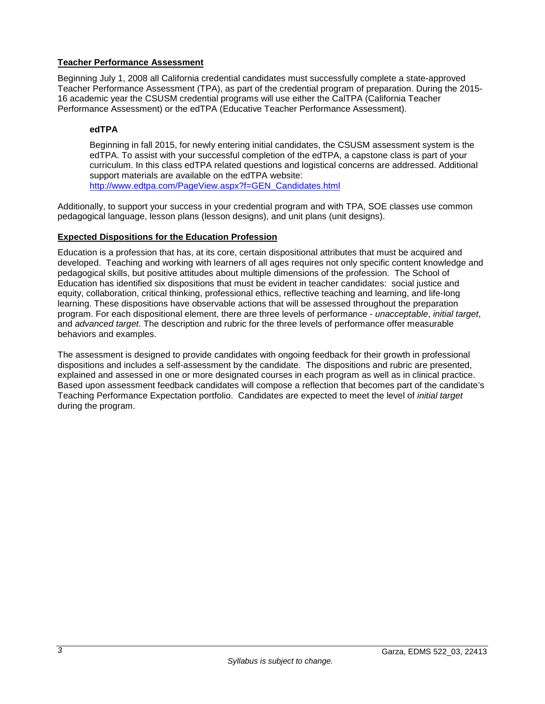## <span id="page-4-0"></span>**Teacher Performance Assessment**

Beginning July 1, 2008 all California credential candidates must successfully complete a state-approved Teacher Performance Assessment (TPA), as part of the credential program of preparation. During the 2015- 16 academic year the CSUSM credential programs will use either the CalTPA (California Teacher Performance Assessment) or the edTPA (Educative Teacher Performance Assessment).

## <span id="page-4-1"></span>**edTPA**

Beginning in fall 2015, for newly entering initial candidates, the CSUSM assessment system is the edTPA. To assist with your successful completion of the edTPA, a capstone class is part of your curriculum. In this class edTPA related questions and logistical concerns are addressed. Additional support materials are available on the edTPA website: [http://www.edtpa.com/PageView.aspx?f=GEN\\_Candidates.html](http://www.edtpa.com/PageView.aspx?f=GEN_Candidates.html)

Additionally, to support your success in your credential program and with TPA, SOE classes use common pedagogical language, lesson plans (lesson designs), and unit plans (unit designs).

## <span id="page-4-2"></span>**Expected Dispositions for the Education Profession**

Education is a profession that has, at its core, certain dispositional attributes that must be acquired and developed. Teaching and working with learners of all ages requires not only specific content knowledge and pedagogical skills, but positive attitudes about multiple dimensions of the profession. The School of Education has identified six dispositions that must be evident in teacher candidates: social justice and equity, collaboration, critical thinking, professional ethics, reflective teaching and learning, and life-long learning. These dispositions have observable actions that will be assessed throughout the preparation program. For each dispositional element, there are three levels of performance - *unacceptable*, *initial target*, and *advanced target*. The description and rubric for the three levels of performance offer measurable behaviors and examples.

The assessment is designed to provide candidates with ongoing feedback for their growth in professional dispositions and includes a self-assessment by the candidate. The dispositions and rubric are presented, explained and assessed in one or more designated courses in each program as well as in clinical practice. Based upon assessment feedback candidates will compose a reflection that becomes part of the candidate's Teaching Performance Expectation portfolio. Candidates are expected to meet the level of *initial target* during the program.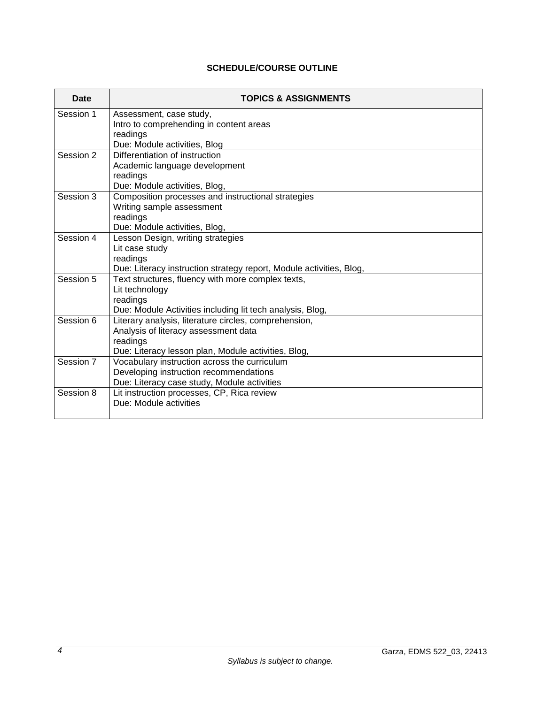# **SCHEDULE/COURSE OUTLINE**

<span id="page-5-0"></span>

| Date      | <b>TOPICS &amp; ASSIGNMENTS</b>                                                     |
|-----------|-------------------------------------------------------------------------------------|
| Session 1 | Assessment, case study,                                                             |
|           | Intro to comprehending in content areas                                             |
|           | readings                                                                            |
|           | Due: Module activities, Blog                                                        |
| Session 2 | Differentiation of instruction                                                      |
|           | Academic language development                                                       |
|           | readings                                                                            |
| Session 3 | Due: Module activities, Blog,<br>Composition processes and instructional strategies |
|           | Writing sample assessment                                                           |
|           | readings                                                                            |
|           | Due: Module activities, Blog,                                                       |
| Session 4 | Lesson Design, writing strategies                                                   |
|           | Lit case study                                                                      |
|           | readings                                                                            |
|           | Due: Literacy instruction strategy report, Module activities, Blog,                 |
| Session 5 | Text structures, fluency with more complex texts,                                   |
|           | Lit technology                                                                      |
|           | readings                                                                            |
|           | Due: Module Activities including lit tech analysis, Blog,                           |
| Session 6 | Literary analysis, literature circles, comprehension,                               |
|           | Analysis of literacy assessment data                                                |
|           | readings                                                                            |
|           | Due: Literacy lesson plan, Module activities, Blog,                                 |
| Session 7 | Vocabulary instruction across the curriculum                                        |
|           | Developing instruction recommendations                                              |
| Session 8 | Due: Literacy case study, Module activities                                         |
|           | Lit instruction processes, CP, Rica review<br>Due: Module activities                |
|           |                                                                                     |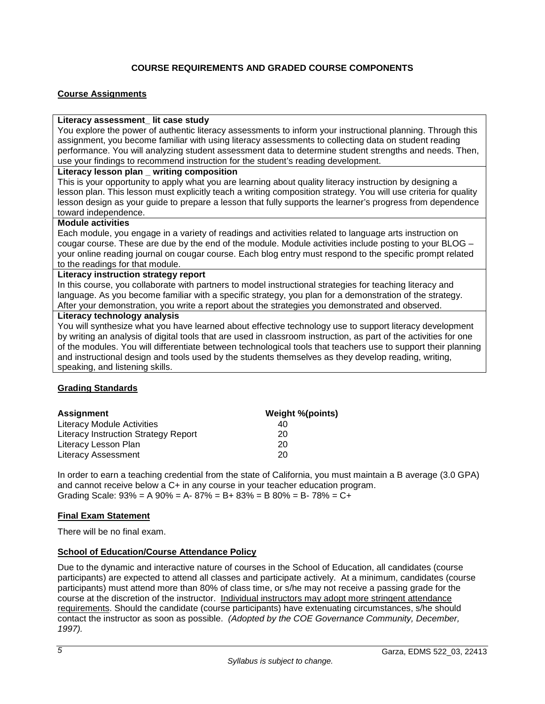# **COURSE REQUIREMENTS AND GRADED COURSE COMPONENTS**

## <span id="page-6-1"></span><span id="page-6-0"></span>**Course Assignments**

### **Literacy assessment\_ lit case study**

You explore the power of authentic literacy assessments to inform your instructional planning. Through this assignment, you become familiar with using literacy assessments to collecting data on student reading performance. You will analyzing student assessment data to determine student strengths and needs. Then, use your findings to recommend instruction for the student's reading development.

## **Literacy lesson plan \_ writing composition**

This is your opportunity to apply what you are learning about quality literacy instruction by designing a lesson plan. This lesson must explicitly teach a writing composition strategy. You will use criteria for quality lesson design as your guide to prepare a lesson that fully supports the learner's progress from dependence toward independence.

### **Module activities**

Each module, you engage in a variety of readings and activities related to language arts instruction on cougar course. These are due by the end of the module. Module activities include posting to your BLOG – your online reading journal on cougar course. Each blog entry must respond to the specific prompt related to the readings for that module.

### **Literacy instruction strategy report**

In this course, you collaborate with partners to model instructional strategies for teaching literacy and language. As you become familiar with a specific strategy, you plan for a demonstration of the strategy. After your demonstration, you write a report about the strategies you demonstrated and observed.

### **Literacy technology analysis**

You will synthesize what you have learned about effective technology use to support literacy development by writing an analysis of digital tools that are used in classroom instruction, as part of the activities for one of the modules. You will differentiate between technological tools that teachers use to support their planning and instructional design and tools used by the students themselves as they develop reading, writing, speaking, and listening skills.

## <span id="page-6-2"></span>**Grading Standards**

| <b>Assignment</b>                    | <b>Weight %(points)</b> |
|--------------------------------------|-------------------------|
| Literacy Module Activities           | 40                      |
| Literacy Instruction Strategy Report | 20                      |
| Literacy Lesson Plan                 | 20                      |
| <b>Literacy Assessment</b>           | 20                      |

In order to earn a teaching credential from the state of California, you must maintain a B average (3.0 GPA) and cannot receive below a C+ in any course in your teacher education program. Grading Scale:  $93\% = A\,90\% = A - 87\% = B + 83\% = B\,80\% = B - 78\% = C +$ 

## <span id="page-6-3"></span>**Final Exam Statement**

There will be no final exam.

## <span id="page-6-4"></span>**School of Education/Course Attendance Policy**

Due to the dynamic and interactive nature of courses in the School of Education, all candidates (course participants) are expected to attend all classes and participate actively. At a minimum, candidates (course participants) must attend more than 80% of class time, or s/he may not receive a passing grade for the course at the discretion of the instructor. Individual instructors may adopt more stringent attendance requirements. Should the candidate (course participants) have extenuating circumstances, s/he should contact the instructor as soon as possible. *(Adopted by the COE Governance Community, December, 1997).*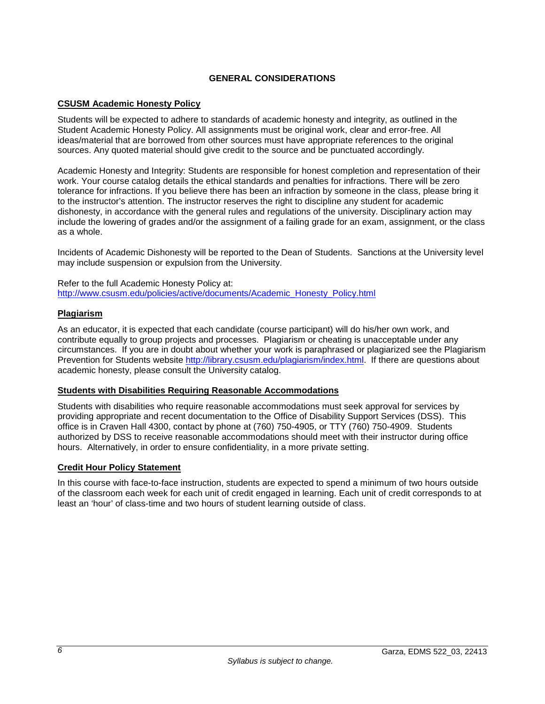## **GENERAL CONSIDERATIONS**

## <span id="page-7-1"></span><span id="page-7-0"></span>**CSUSM Academic Honesty Policy**

Students will be expected to adhere to standards of academic honesty and integrity, as outlined in the Student Academic Honesty Policy. All assignments must be original work, clear and error-free. All ideas/material that are borrowed from other sources must have appropriate references to the original sources. Any quoted material should give credit to the source and be punctuated accordingly.

Academic Honesty and Integrity: Students are responsible for honest completion and representation of their work. Your course catalog details the ethical standards and penalties for infractions. There will be zero tolerance for infractions. If you believe there has been an infraction by someone in the class, please bring it to the instructor's attention. The instructor reserves the right to discipline any student for academic dishonesty, in accordance with the general rules and regulations of the university. Disciplinary action may include the lowering of grades and/or the assignment of a failing grade for an exam, assignment, or the class as a whole.

Incidents of Academic Dishonesty will be reported to the Dean of Students. Sanctions at the University level may include suspension or expulsion from the University.

Refer to the full Academic Honesty Policy at: [http://www.csusm.edu/policies/active/documents/Academic\\_Honesty\\_Policy.html](http://www.csusm.edu/policies/active/documents/Academic_Honesty_Policy.html)

### <span id="page-7-2"></span>**Plagiarism**

As an educator, it is expected that each candidate (course participant) will do his/her own work, and contribute equally to group projects and processes. Plagiarism or cheating is unacceptable under any circumstances. If you are in doubt about whether your work is paraphrased or plagiarized see the Plagiarism Prevention for Students website [http://library.csusm.edu/plagiarism/index.html.](http://library.csusm.edu/plagiarism/index.html) If there are questions about academic honesty, please consult the University catalog.

### <span id="page-7-3"></span>**Students with Disabilities Requiring Reasonable Accommodations**

Students with disabilities who require reasonable accommodations must seek approval for services by providing appropriate and recent documentation to the Office of Disability Support Services (DSS). This office is in Craven Hall 4300, contact by phone at (760) 750-4905, or TTY (760) 750-4909. Students authorized by DSS to receive reasonable accommodations should meet with their instructor during office hours. Alternatively, in order to ensure confidentiality, in a more private setting.

## <span id="page-7-4"></span>**Credit Hour Policy Statement**

In this course with face-to-face instruction, students are expected to spend a minimum of two hours outside of the classroom each week for each unit of credit engaged in learning. Each unit of credit corresponds to at least an 'hour' of class-time and two hours of student learning outside of class.